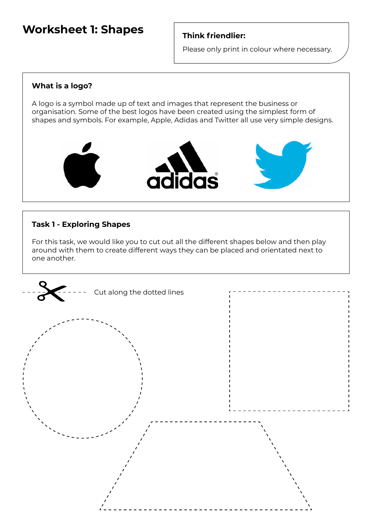# **Worksheet 1: Shapes**

## **Think friendlier:**

Please only print in colour where necessary.

#### **What is a logo?**

A logo is a symbol made up of text and images that represent the business or organisation. Some of the best logos have been created using the simplest form of shapes and symbols. For example, Apple, Adidas and Twitter all use very simple designs.



## **Task 1 - Exploring Shapes**

For this task, we would like you to cut out all the different shapes below and then play around with them to create different ways they can be placed and orientated next to one another.

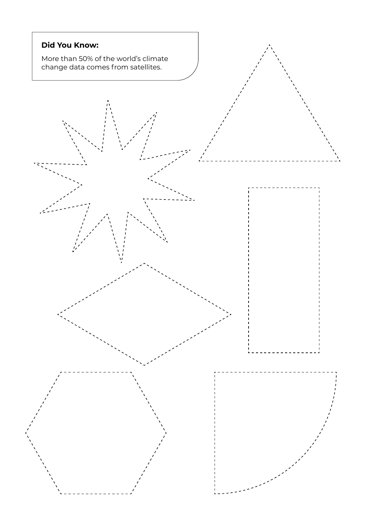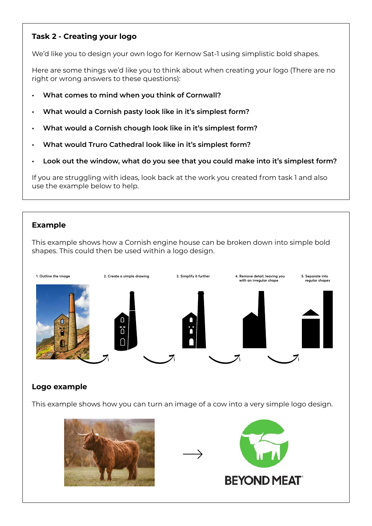## **Task 2 - Creating your logo**

We'd like you to design your own logo for Kernow Sat-1 using simplistic bold shapes.

Here are some things we'd like you to think about when creating your logo (There are no right or wrong answers to these questions):

- **• What comes to mind when you think of Cornwall?**
- **• What would a Cornish pasty look like in it's simplest form?**
- **• What would a Cornish chough look like in it's simplest form?**
- **• What would Truro Cathedral look like in it's simplest form?**
- **• Look out the window, what do you see that you could make into it's simplest form?**

If you are struggling with ideas, look back at the work you created from task 1 and also use the example below to help.

## **Example**

This example shows how a Cornish engine house can be broken down into simple bold shapes. This could then be used within a logo design.



## **Logo example**

This example shows how you can turn an image of a cow into a very simple logo design.



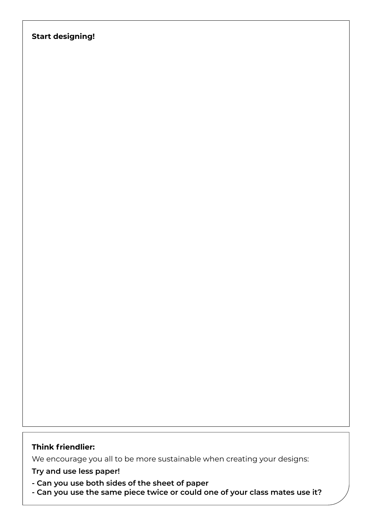## **Start designing!**

#### **Think friendlier:**

We encourage you all to be more sustainable when creating your designs:

**Try and use less paper!**

- **Can you use both sides of the sheet of paper**
- **Can you use the same piece twice or could one of your class mates use it?**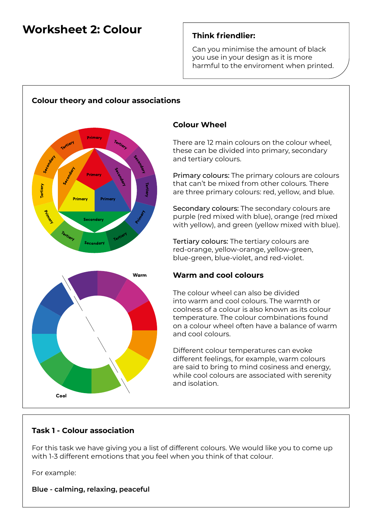# **Worksheet 2: Colour**

## **Think friendlier:**

Can you minimise the amount of black you use in your design as it is more harmful to the enviroment when printed.



# **Colour Wheel**

There are 12 main colours on the colour wheel, these can be divided into primary, secondary and tertiary colours.

Primary colours: The primary colours are colours that can't be mixed from other colours. There are three primary colours: red, yellow, and blue.

Secondary colours: The secondary colours are purple (red mixed with blue), orange (red mixed with yellow), and green (yellow mixed with blue).

Tertiary colours: The tertiary colours are red-orange, yellow-orange, yellow-green, blue-green, blue-violet, and red-violet.

#### **Warm and cool colours**

The colour wheel can also be divided into warm and cool colours. The warmth or coolness of a colour is also known as its colour temperature. The colour combinations found on a colour wheel often have a balance of warm and cool colours.

Different colour temperatures can evoke different feelings, for example, warm colours are said to bring to mind cosiness and energy, while cool colours are associated with serenity and isolation.

## **Task 1 - Colour association**

For this task we have giving you a list of different colours. We would like you to come up with 1-3 different emotions that you feel when you think of that colour.

For example:

**Blue - calming, relaxing, peaceful**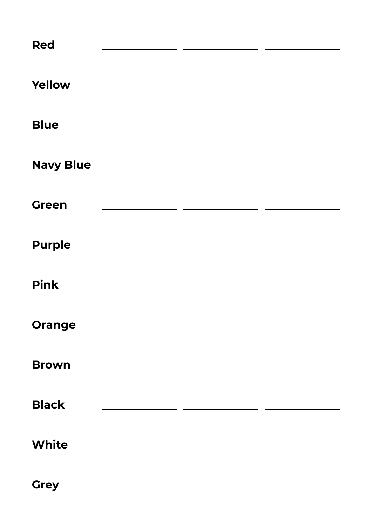| <b>Red</b>    | <u> 1980 - Andrea State Barbara, política establece</u> |  |
|---------------|---------------------------------------------------------|--|
|               |                                                         |  |
| Yellow        |                                                         |  |
|               |                                                         |  |
| <b>Blue</b>   |                                                         |  |
|               |                                                         |  |
|               |                                                         |  |
| <b>Green</b>  |                                                         |  |
| <b>Purple</b> | <u> 1990 - Johann Barbara, martxa amerikan</u>          |  |
|               |                                                         |  |
| <b>Pink</b>   | <u> 1989 - Jan Barbara Barbara, política establece</u>  |  |
|               |                                                         |  |
| <b>Orange</b> |                                                         |  |
| <b>Brown</b>  |                                                         |  |
|               |                                                         |  |
| <b>Black</b>  |                                                         |  |
|               |                                                         |  |
| <b>White</b>  |                                                         |  |
| <b>Grey</b>   |                                                         |  |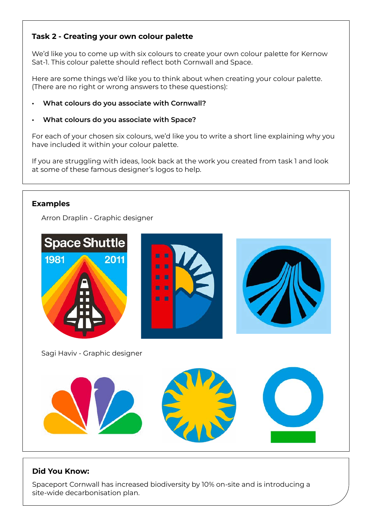## **Task 2 - Creating your own colour palette**

We'd like you to come up with six colours to create your own colour palette for Kernow Sat-1. This colour palette should reflect both Cornwall and Space.

Here are some things we'd like you to think about when creating your colour palette. (There are no right or wrong answers to these questions):

#### **• What colours do you associate with Cornwall?**

#### **• What colours do you associate with Space?**

For each of your chosen six colours, we'd like you to write a short line explaining why you have included it within your colour palette.

If you are struggling with ideas, look back at the work you created from task 1 and look at some of these famous designer's logos to help.

#### **Examples**

Arron Draplin - Graphic designer



#### **Did You Know:**

Spaceport Cornwall has increased biodiversity by 10% on-site and is introducing a site-wide decarbonisation plan.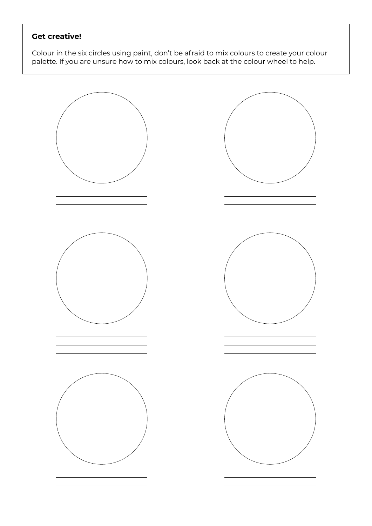# **Get creative!**

Colour in the six circles using paint, don't be afraid to mix colours to create your colour palette. If you are unsure how to mix colours, look back at the colour wheel to help.

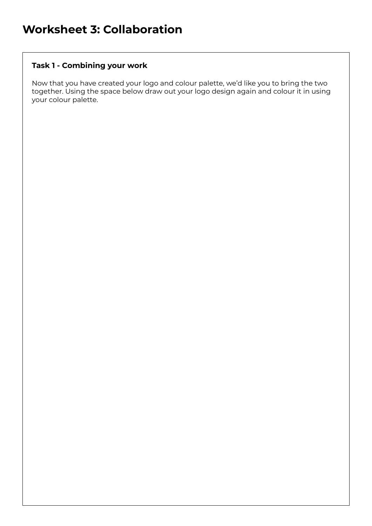## **Task 1 - Combining your work**

Now that you have created your logo and colour palette, we'd like you to bring the two together. Using the space below draw out your logo design again and colour it in using your colour palette.